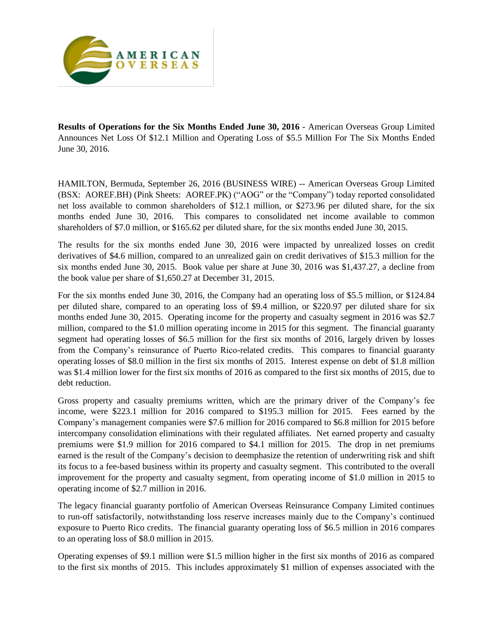

**Results of Operations for the Six Months Ended June 30, 2016** - American Overseas Group Limited Announces Net Loss Of \$12.1 Million and Operating Loss of \$5.5 Million For The Six Months Ended June 30, 2016.

HAMILTON, Bermuda, September 26, 2016 (BUSINESS WIRE) -- American Overseas Group Limited (BSX: AOREF.BH) (Pink Sheets: AOREF.PK) ("AOG" or the "Company") today reported consolidated net loss available to common shareholders of \$12.1 million, or \$273.96 per diluted share, for the six months ended June 30, 2016. This compares to consolidated net income available to common shareholders of \$7.0 million, or \$165.62 per diluted share, for the six months ended June 30, 2015.

The results for the six months ended June 30, 2016 were impacted by unrealized losses on credit derivatives of \$4.6 million, compared to an unrealized gain on credit derivatives of \$15.3 million for the six months ended June 30, 2015. Book value per share at June 30, 2016 was \$1,437.27, a decline from the book value per share of \$1,650.27 at December 31, 2015.

For the six months ended June 30, 2016, the Company had an operating loss of \$5.5 million, or \$124.84 per diluted share, compared to an operating loss of \$9.4 million, or \$220.97 per diluted share for six months ended June 30, 2015. Operating income for the property and casualty segment in 2016 was \$2.7 million, compared to the \$1.0 million operating income in 2015 for this segment. The financial guaranty segment had operating losses of \$6.5 million for the first six months of 2016, largely driven by losses from the Company's reinsurance of Puerto Rico-related credits. This compares to financial guaranty operating losses of \$8.0 million in the first six months of 2015. Interest expense on debt of \$1.8 million was \$1.4 million lower for the first six months of 2016 as compared to the first six months of 2015, due to debt reduction.

Gross property and casualty premiums written, which are the primary driver of the Company's fee income, were \$223.1 million for 2016 compared to \$195.3 million for 2015. Fees earned by the Company's management companies were \$7.6 million for 2016 compared to \$6.8 million for 2015 before intercompany consolidation eliminations with their regulated affiliates. Net earned property and casualty premiums were \$1.9 million for 2016 compared to \$4.1 million for 2015. The drop in net premiums earned is the result of the Company's decision to deemphasize the retention of underwriting risk and shift its focus to a fee-based business within its property and casualty segment. This contributed to the overall improvement for the property and casualty segment, from operating income of \$1.0 million in 2015 to operating income of \$2.7 million in 2016.

The legacy financial guaranty portfolio of American Overseas Reinsurance Company Limited continues to run-off satisfactorily, notwithstanding loss reserve increases mainly due to the Company's continued exposure to Puerto Rico credits. The financial guaranty operating loss of \$6.5 million in 2016 compares to an operating loss of \$8.0 million in 2015.

Operating expenses of \$9.1 million were \$1.5 million higher in the first six months of 2016 as compared to the first six months of 2015. This includes approximately \$1 million of expenses associated with the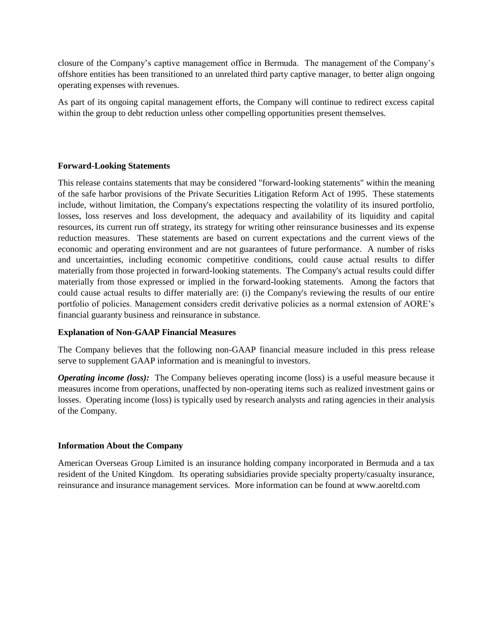closure of the Company's captive management office in Bermuda. The management of the Company's offshore entities has been transitioned to an unrelated third party captive manager, to better align ongoing operating expenses with revenues.

As part of its ongoing capital management efforts, the Company will continue to redirect excess capital within the group to debt reduction unless other compelling opportunities present themselves.

# **Forward-Looking Statements**

This release contains statements that may be considered "forward-looking statements" within the meaning of the safe harbor provisions of the Private Securities Litigation Reform Act of 1995. These statements include, without limitation, the Company's expectations respecting the volatility of its insured portfolio, losses, loss reserves and loss development, the adequacy and availability of its liquidity and capital resources, its current run off strategy, its strategy for writing other reinsurance businesses and its expense reduction measures. These statements are based on current expectations and the current views of the economic and operating environment and are not guarantees of future performance. A number of risks and uncertainties, including economic competitive conditions, could cause actual results to differ materially from those projected in forward-looking statements. The Company's actual results could differ materially from those expressed or implied in the forward-looking statements. Among the factors that could cause actual results to differ materially are: (i) the Company's reviewing the results of our entire portfolio of policies. Management considers credit derivative policies as a normal extension of AORE's financial guaranty business and reinsurance in substance.

## **Explanation of Non-GAAP Financial Measures**

The Company believes that the following non-GAAP financial measure included in this press release serve to supplement GAAP information and is meaningful to investors.

*Operating income (loss):* The Company believes operating income (loss) is a useful measure because it measures income from operations, unaffected by non-operating items such as realized investment gains or losses. Operating income (loss) is typically used by research analysts and rating agencies in their analysis of the Company.

## **Information About the Company**

American Overseas Group Limited is an insurance holding company incorporated in Bermuda and a tax resident of the United Kingdom. Its operating subsidiaries provide specialty property/casualty insurance, reinsurance and insurance management services. More information can be found at www.aoreltd.com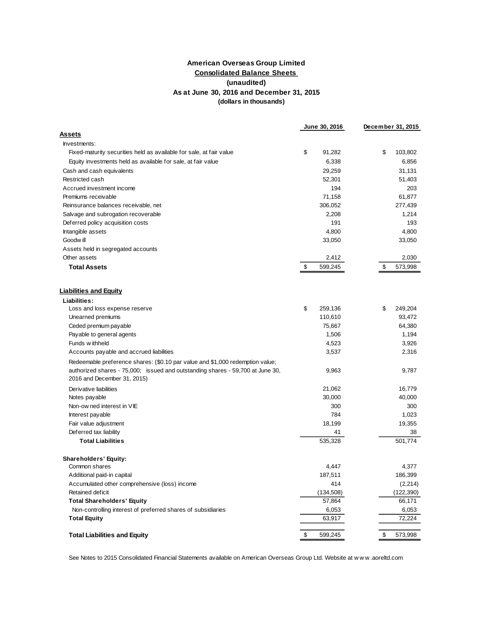### **Consolidated Balance Sheets (unaudited) As at June 30, 2016 and December 31, 2015 (dollars in thousands) American Overseas Group Limited**

|                                                                                                               | June 30, 2016 | December 31, 2015 |
|---------------------------------------------------------------------------------------------------------------|---------------|-------------------|
| <b>Assets</b>                                                                                                 |               |                   |
| Investments:                                                                                                  |               |                   |
| Fixed-maturity securities held as available for sale, at fair value                                           | \$<br>91,282  | \$<br>103,802     |
| Equity investments held as available for sale, at fair value                                                  | 6,338         | 6,856             |
| Cash and cash equivalents                                                                                     | 29,259        | 31,131            |
| Restricted cash                                                                                               | 52,301        | 51,403            |
| Accrued investment income                                                                                     | 194           | 203               |
| Premiums receivable                                                                                           | 71,158        | 61,877            |
| Reinsurance balances receivable, net                                                                          | 306,052       | 277,439           |
| Salvage and subrogation recoverable                                                                           | 2,208         | 1,214             |
| Deferred policy acquisition costs                                                                             | 191           | 193               |
| Intangible assets                                                                                             | 4,800         | 4,800             |
| Goodw ill                                                                                                     | 33,050        | 33,050            |
| Assets held in segregated accounts                                                                            |               |                   |
| Other assets                                                                                                  | 2,412         | 2,030             |
| <b>Total Assets</b>                                                                                           | \$<br>599,245 | \$<br>573,998     |
|                                                                                                               |               |                   |
| <b>Liabilities and Equity</b>                                                                                 |               |                   |
| Liabilities:                                                                                                  |               |                   |
| Loss and loss expense reserve                                                                                 | \$<br>259,136 | \$<br>249,204     |
| Unearned premiums                                                                                             | 110,610       | 93,472            |
| Ceded premium payable                                                                                         | 75,667        | 64,380            |
| Payable to general agents                                                                                     | 1,506         | 1,194             |
| Funds w ithheld                                                                                               | 4,523         | 3,926             |
| Accounts payable and accrued liabilities                                                                      | 3,537         | 2,316             |
| Redeemable preference shares: (\$0.10 par value and \$1,000 redemption value;                                 |               |                   |
| authorized shares - 75,000; issued and outstanding shares - 59,700 at June 30,<br>2016 and December 31, 2015) | 9,963         | 9,787             |
| Derivative liabilities                                                                                        | 21,062        | 16,779            |
| Notes payable                                                                                                 | 30,000        | 40,000            |
| Non-ow ned interest in VIE                                                                                    | 300           | 300               |
| Interest payable                                                                                              | 784           | 1,023             |
| Fair value adjustment                                                                                         | 18,199        | 19,355            |
| Deferred tax liability                                                                                        | 41            | 38                |
| <b>Total Liabilities</b>                                                                                      | 535,328       | 501,774           |
|                                                                                                               |               |                   |
| Shareholders' Equity:                                                                                         |               |                   |
| Common shares                                                                                                 | 4,447         | 4,377             |
| Additional paid-in capital                                                                                    | 187,511       | 186,399           |
| Accumulated other comprehensive (loss) income                                                                 | 414           | (2, 214)          |
| Retained deficit                                                                                              | (134, 508)    | (122, 390)        |
| <b>Total Shareholders' Equity</b>                                                                             | 57,864        | 66,171            |
| Non-controlling interest of preferred shares of subsidiaries                                                  | 6,053         | 6,053             |
| <b>Total Equity</b>                                                                                           | 63,917        | 72,224            |
| <b>Total Liabilities and Equity</b>                                                                           | \$<br>599,245 | \$<br>573,998     |

See Notes to 2015 Consolidated Financial Statements available on American Overseas Group Ltd. Website at w w w .aoreltd.com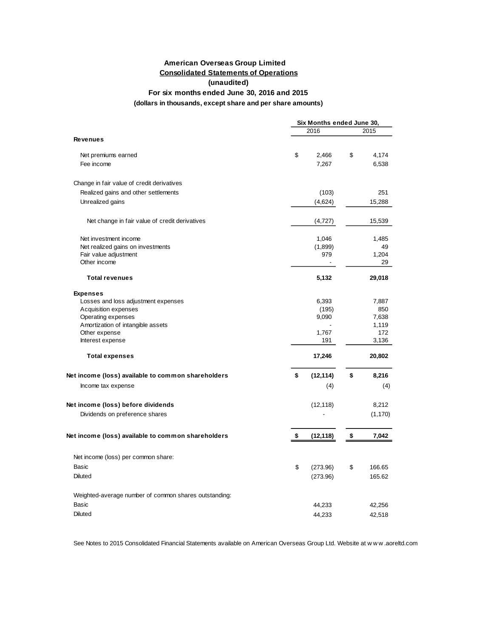### **American Overseas Group Limited Consolidated Statements of Operations (unaudited)**

### **For six months ended June 30, 2016 and 2015**

### **(dollars in thousands, except share and per share amounts)**

|                                                       |    | Six Months ended June 30, |    |              |  |  |
|-------------------------------------------------------|----|---------------------------|----|--------------|--|--|
|                                                       |    | 2015                      |    |              |  |  |
| <b>Revenues</b>                                       |    |                           |    |              |  |  |
| Net premiums earned                                   | \$ | 2,466                     | \$ | 4,174        |  |  |
| Fee income                                            |    | 7,267                     |    | 6,538        |  |  |
| Change in fair value of credit derivatives            |    |                           |    |              |  |  |
| Realized gains and other settlements                  |    | (103)                     |    | 251          |  |  |
| Unrealized gains                                      |    | (4,624)                   |    | 15,288       |  |  |
| Net change in fair value of credit derivatives        |    | (4, 727)                  |    | 15,539       |  |  |
| Net investment income                                 |    | 1,046                     |    | 1,485        |  |  |
| Net realized gains on investments                     |    | (1,899)                   |    | 49           |  |  |
| Fair value adjustment<br>Other income                 |    | 979                       |    | 1,204<br>29  |  |  |
|                                                       |    |                           |    |              |  |  |
| <b>Total revenues</b>                                 |    | 5,132                     |    | 29,018       |  |  |
| <b>Expenses</b>                                       |    |                           |    |              |  |  |
| Losses and loss adjustment expenses                   |    | 6,393                     |    | 7,887        |  |  |
| Acquisition expenses                                  |    | (195)                     |    | 850          |  |  |
| Operating expenses                                    |    | 9,090                     |    | 7,638        |  |  |
| Amortization of intangible assets                     |    |                           |    | 1,119<br>172 |  |  |
| Other expense                                         |    | 1,767                     |    |              |  |  |
| Interest expense                                      |    | 191                       |    | 3,136        |  |  |
| <b>Total expenses</b>                                 |    | 17,246                    |    | 20,802       |  |  |
| Net income (loss) available to common shareholders    | \$ | (12, 114)                 | \$ | 8,216        |  |  |
| Income tax expense                                    |    | (4)                       |    | (4)          |  |  |
| Net income (loss) before dividends                    |    | (12, 118)                 |    | 8,212        |  |  |
| Dividends on preference shares                        |    |                           |    | (1, 170)     |  |  |
| Net income (loss) available to common shareholders    | \$ | (12, 118)                 | \$ | 7,042        |  |  |
| Net income (loss) per common share:                   |    |                           |    |              |  |  |
| Basic                                                 | \$ | (273.96)                  | \$ | 166.65       |  |  |
| <b>Diluted</b>                                        |    | (273.96)                  |    | 165.62       |  |  |
| Weighted-average number of common shares outstanding: |    |                           |    |              |  |  |
| Basic                                                 |    | 44,233                    |    | 42,256       |  |  |
| <b>Diluted</b>                                        |    | 44,233                    |    | 42,518       |  |  |
|                                                       |    |                           |    |              |  |  |

See Notes to 2015 Consolidated Financial Statements available on American Overseas Group Ltd. Website at w w w .aoreltd.com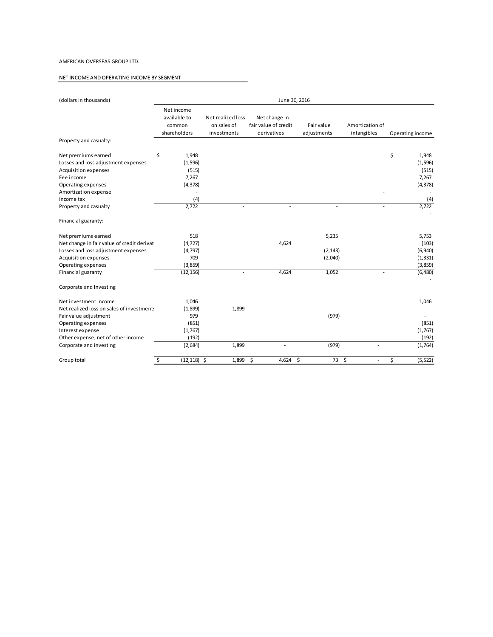#### AMERICAN OVERSEAS GROUP LTD.

#### NET INCOME AND OPERATING INCOME BY SEGMENT

| (dollars in thousands)                                                                                                                                        | June 30, 2016                                        |                                                 |                                                      |                              |                                |                                                  |
|---------------------------------------------------------------------------------------------------------------------------------------------------------------|------------------------------------------------------|-------------------------------------------------|------------------------------------------------------|------------------------------|--------------------------------|--------------------------------------------------|
|                                                                                                                                                               | Net income<br>available to<br>common<br>shareholders | Net realized loss<br>on sales of<br>investments | Net change in<br>fair value of credit<br>derivatives | Fair value<br>adjustments    | Amortization of<br>intangibles | Operating income                                 |
| Property and casualty:                                                                                                                                        |                                                      |                                                 |                                                      |                              |                                |                                                  |
| Net premiums earned<br>Losses and loss adjustment expenses<br><b>Acquisition expenses</b>                                                                     | \$<br>1,948<br>(1, 596)<br>(515)                     |                                                 |                                                      |                              |                                | \$<br>1,948<br>(1, 596)<br>(515)                 |
| Fee income<br>Operating expenses<br>Amortization expense                                                                                                      | 7,267<br>(4, 378)                                    |                                                 |                                                      |                              |                                | 7,267<br>(4, 378)                                |
| Income tax<br>Property and casualty                                                                                                                           | (4)<br>2,722                                         | $\overline{\phantom{a}}$                        | $\sim$                                               | $\overline{\phantom{a}}$     | $\overline{\phantom{a}}$       | (4)<br>2,722                                     |
| Financial guaranty:                                                                                                                                           |                                                      |                                                 |                                                      |                              |                                |                                                  |
| Net premiums earned<br>Net change in fair value of credit derivat<br>Losses and loss adjustment expenses<br><b>Acquisition expenses</b><br>Operating expenses | 518<br>(4, 727)<br>(4, 797)<br>709<br>(3,859)        |                                                 | 4,624                                                | 5,235<br>(2, 143)<br>(2,040) |                                | 5,753<br>(103)<br>(6,940)<br>(1, 331)<br>(3,859) |
| Financial guaranty                                                                                                                                            | (12, 156)                                            | $\overline{\phantom{a}}$                        | 4,624                                                | 1,052                        | $\overline{a}$                 | (6,480)                                          |
| Corporate and Investing                                                                                                                                       |                                                      |                                                 |                                                      |                              |                                |                                                  |
| Net investment income<br>Net realized loss on sales of investments<br>Fair value adjustment<br>Operating expenses                                             | 1,046<br>(1,899)<br>979<br>(851)                     | 1,899                                           |                                                      | (979)                        |                                | 1,046<br>(851)                                   |
| Interest expense<br>Other expense, net of other income                                                                                                        | (1,767)<br>(192)                                     |                                                 |                                                      |                              |                                | (1,767)<br>(192)                                 |
| Corporate and investing                                                                                                                                       | (2,684)                                              | 1,899                                           | $\overline{\phantom{a}}$                             | (979)                        | $\overline{\phantom{a}}$       | (1,764)                                          |
| Group total                                                                                                                                                   | \$<br>$(12, 118)$ \$                                 | 1,899                                           | \$<br>4,624 \$                                       | 73 \$                        | $\overline{\phantom{a}}$       | \$<br>(5, 522)                                   |